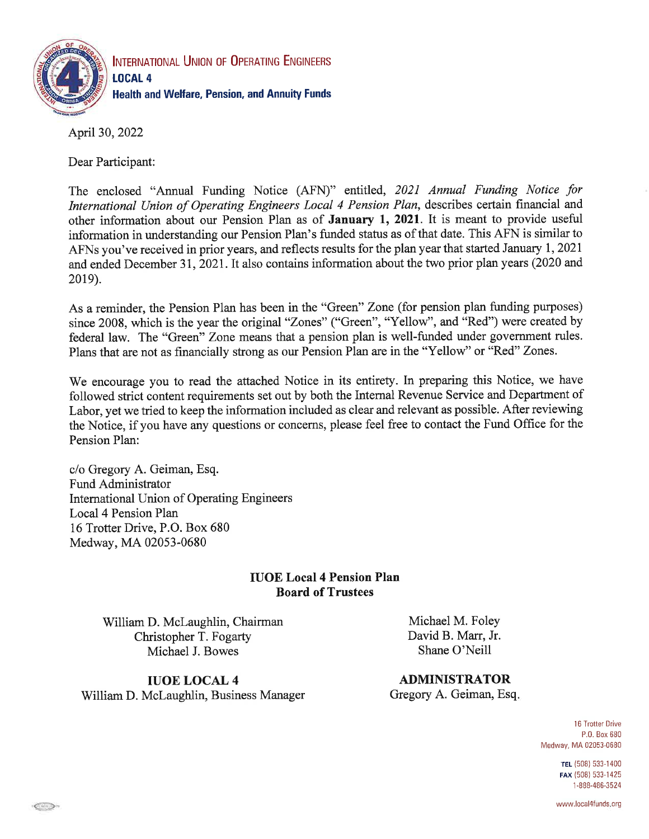

INTERNATIONAL UNION OF OPERATING ENGINEERS **LOCAL 4 Health and Welfare, Pension, and Annuity Funds** 

April 30, 2022

Dear Participant:

The enclosed "Annual Funding Notice (AFN)" entitled, 2021 Annual Funding Notice for International Union of Operating Engineers Local 4 Pension Plan, describes certain financial and other information about our Pension Plan as of January 1, 2021. It is meant to provide useful information in understanding our Pension Plan's funded status as of that date. This AFN is similar to AFNs you've received in prior years, and reflects results for the plan year that started January 1, 2021 and ended December 31, 2021. It also contains information about the two prior plan years (2020 and 2019).

As a reminder, the Pension Plan has been in the "Green" Zone (for pension plan funding purposes) since 2008, which is the year the original "Zones" ("Green", "Yellow", and "Red") were created by federal law. The "Green" Zone means that a pension plan is well-funded under government rules. Plans that are not as financially strong as our Pension Plan are in the "Yellow" or "Red" Zones.

We encourage you to read the attached Notice in its entirety. In preparing this Notice, we have followed strict content requirements set out by both the Internal Revenue Service and Department of Labor, vet we tried to keep the information included as clear and relevant as possible. After reviewing the Notice, if you have any questions or concerns, please feel free to contact the Fund Office for the Pension Plan:

c/o Gregory A. Geiman, Esq. Fund Administrator International Union of Operating Engineers Local 4 Pension Plan 16 Trotter Drive, P.O. Box 680 Medway, MA 02053-0680

#### **IUOE Local 4 Pension Plan Board of Trustees**

William D. McLaughlin, Chairman Christopher T. Fogarty Michael J. Bowes

Michael M. Foley David B. Marr, Jr. Shane O'Neill

**IUOE LOCAL 4** William D. McLaughlin, Business Manager

**ADMINISTRATOR** Gregory A. Geiman, Esq.

> **16 Trotter Drive** P.O. Box 680 Medway, MA 02053-0680

> > TEL (508) 533-1400 FAX (508) 533-1425 1-888-486-3524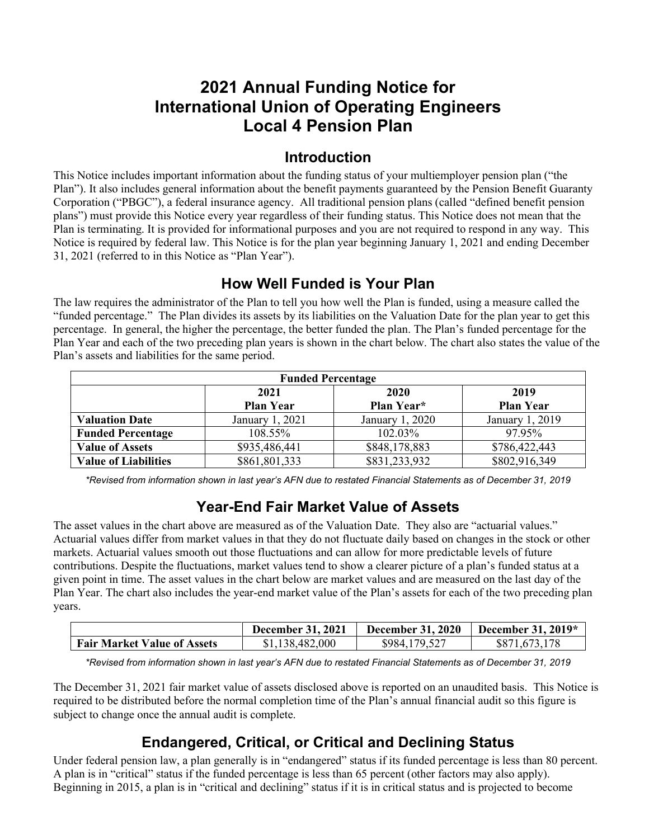# **2021 Annual Funding Notice for International Union of Operating Engineers Local 4 Pension Plan**

#### **Introduction**

This Notice includes important information about the funding status of your multiemployer pension plan ("the Plan"). It also includes general information about the benefit payments guaranteed by the Pension Benefit Guaranty Corporation ("PBGC"), a federal insurance agency. All traditional pension plans (called "defined benefit pension plans") must provide this Notice every year regardless of their funding status. This Notice does not mean that the Plan is terminating. It is provided for informational purposes and you are not required to respond in any way. This Notice is required by federal law. This Notice is for the plan year beginning January 1, 2021 and ending December 31, 2021 (referred to in this Notice as "Plan Year").

#### **How Well Funded is Your Plan**

The law requires the administrator of the Plan to tell you how well the Plan is funded, using a measure called the "funded percentage." The Plan divides its assets by its liabilities on the Valuation Date for the plan year to get this percentage. In general, the higher the percentage, the better funded the plan. The Plan's funded percentage for the Plan Year and each of the two preceding plan years is shown in the chart below. The chart also states the value of the Plan's assets and liabilities for the same period.

| <b>Funded Percentage</b>    |                  |                 |                  |  |  |
|-----------------------------|------------------|-----------------|------------------|--|--|
|                             | 2021             | 2020            | 2019             |  |  |
|                             | <b>Plan Year</b> | Plan Year*      | <b>Plan Year</b> |  |  |
| <b>Valuation Date</b>       | January 1, 2021  | January 1, 2020 | January 1, 2019  |  |  |
| <b>Funded Percentage</b>    | 108.55%          | 102.03%         | 97.95%           |  |  |
| <b>Value of Assets</b>      | \$935,486,441    | \$848,178,883   | \$786,422,443    |  |  |
| <b>Value of Liabilities</b> | \$861,801,333    | \$831,233,932   | \$802,916,349    |  |  |

*\*Revised from information shown in last year's AFN due to restated Financial Statements as of December 31, 2019*

#### **Year-End Fair Market Value of Assets**

The asset values in the chart above are measured as of the Valuation Date. They also are "actuarial values." Actuarial values differ from market values in that they do not fluctuate daily based on changes in the stock or other markets. Actuarial values smooth out those fluctuations and can allow for more predictable levels of future contributions. Despite the fluctuations, market values tend to show a clearer picture of a plan's funded status at a given point in time. The asset values in the chart below are market values and are measured on the last day of the Plan Year. The chart also includes the year-end market value of the Plan's assets for each of the two preceding plan years.

|                                    | <b>December 31, 2021</b> | <b>December 31, 2020</b> | December 31, $2019*$ |
|------------------------------------|--------------------------|--------------------------|----------------------|
| <b>Fair Market Value of Assets</b> | \$1,138,482,000          | \$984,179,527            | \$871,673,178        |

*\*Revised from information shown in last year's AFN due to restated Financial Statements as of December 31, 2019*

The December 31, 2021 fair market value of assets disclosed above is reported on an unaudited basis. This Notice is required to be distributed before the normal completion time of the Plan's annual financial audit so this figure is subject to change once the annual audit is complete.

# **Endangered, Critical, or Critical and Declining Status**

Under federal pension law, a plan generally is in "endangered" status if its funded percentage is less than 80 percent. A plan is in "critical" status if the funded percentage is less than 65 percent (other factors may also apply). Beginning in 2015, a plan is in "critical and declining" status if it is in critical status and is projected to become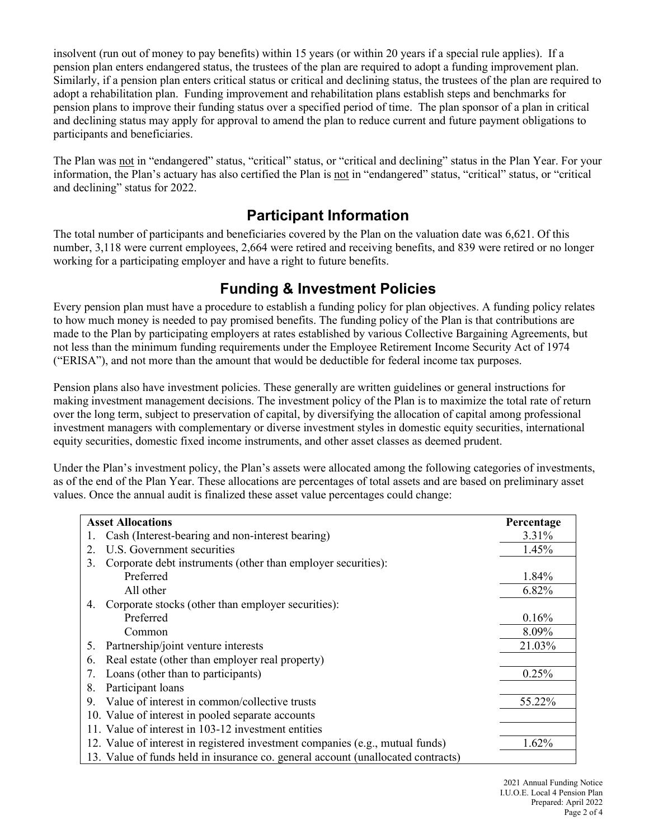insolvent (run out of money to pay benefits) within 15 years (or within 20 years if a special rule applies). If a pension plan enters endangered status, the trustees of the plan are required to adopt a funding improvement plan. Similarly, if a pension plan enters critical status or critical and declining status, the trustees of the plan are required to adopt a rehabilitation plan. Funding improvement and rehabilitation plans establish steps and benchmarks for pension plans to improve their funding status over a specified period of time. The plan sponsor of a plan in critical and declining status may apply for approval to amend the plan to reduce current and future payment obligations to participants and beneficiaries.

The Plan was not in "endangered" status, "critical" status, or "critical and declining" status in the Plan Year. For your information, the Plan's actuary has also certified the Plan is not in "endangered" status, "critical" status, or "critical and declining" status for 2022.

#### **Participant Information**

The total number of participants and beneficiaries covered by the Plan on the valuation date was 6,621. Of this number, 3,118 were current employees, 2,664 were retired and receiving benefits, and 839 were retired or no longer working for a participating employer and have a right to future benefits.

#### **Funding & Investment Policies**

Every pension plan must have a procedure to establish a funding policy for plan objectives. A funding policy relates to how much money is needed to pay promised benefits. The funding policy of the Plan is that contributions are made to the Plan by participating employers at rates established by various Collective Bargaining Agreements, but not less than the minimum funding requirements under the Employee Retirement Income Security Act of 1974 ("ERISA"), and not more than the amount that would be deductible for federal income tax purposes.

Pension plans also have investment policies. These generally are written guidelines or general instructions for making investment management decisions. The investment policy of the Plan is to maximize the total rate of return over the long term, subject to preservation of capital, by diversifying the allocation of capital among professional investment managers with complementary or diverse investment styles in domestic equity securities, international equity securities, domestic fixed income instruments, and other asset classes as deemed prudent.

Under the Plan's investment policy, the Plan's assets were allocated among the following categories of investments, as of the end of the Plan Year. These allocations are percentages of total assets and are based on preliminary asset values. Once the annual audit is finalized these asset value percentages could change:

| <b>Asset Allocations</b>                                                         | Percentage |
|----------------------------------------------------------------------------------|------------|
| Cash (Interest-bearing and non-interest bearing)                                 | 3.31%      |
| U.S. Government securities<br>2.                                                 | 1.45%      |
| Corporate debt instruments (other than employer securities):<br>3.               |            |
| Preferred                                                                        | 1.84%      |
| All other                                                                        | 6.82%      |
| Corporate stocks (other than employer securities):<br>4.                         |            |
| Preferred                                                                        | 0.16%      |
| Common                                                                           | 8.09%      |
| Partnership/joint venture interests<br>5.                                        | 21.03%     |
| Real estate (other than employer real property)<br>6.                            |            |
| Loans (other than to participants)<br>7.                                         | 0.25%      |
| Participant loans<br>8.                                                          |            |
| Value of interest in common/collective trusts<br>9.                              | 55.22%     |
| 10. Value of interest in pooled separate accounts                                |            |
| 11. Value of interest in 103-12 investment entities                              |            |
| 12. Value of interest in registered investment companies (e.g., mutual funds)    | $1.62\%$   |
| 13. Value of funds held in insurance co. general account (unallocated contracts) |            |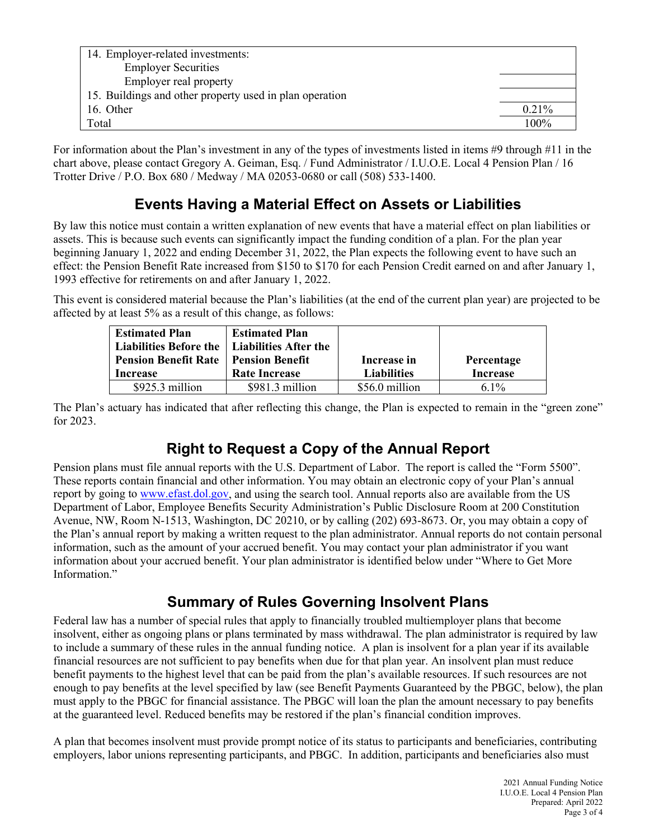| 14. Employer-related investments:                       |          |
|---------------------------------------------------------|----------|
| <b>Employer Securities</b>                              |          |
| Employer real property                                  |          |
| 15. Buildings and other property used in plan operation |          |
| 16. Other                                               | $0.21\%$ |
| Total                                                   | 100%     |

For information about the Plan's investment in any of the types of investments listed in items #9 through #11 in the chart above, please contact Gregory A. Geiman, Esq. / Fund Administrator / I.U.O.E. Local 4 Pension Plan / 16 Trotter Drive / P.O. Box 680 / Medway / MA 02053-0680 or call (508) 533-1400.

#### **Events Having a Material Effect on Assets or Liabilities**

By law this notice must contain a written explanation of new events that have a material effect on plan liabilities or assets. This is because such events can significantly impact the funding condition of a plan. For the plan year beginning January 1, 2022 and ending December 31, 2022, the Plan expects the following event to have such an effect: the Pension Benefit Rate increased from \$150 to \$170 for each Pension Credit earned on and after January 1, 1993 effective for retirements on and after January 1, 2022.

This event is considered material because the Plan's liabilities (at the end of the current plan year) are projected to be affected by at least 5% as a result of this change, as follows:

| <b>Estimated Plan</b><br>Liabilities Before the   Liabilities After the<br><b>Pension Benefit Rate</b><br><b>Increase</b> | <b>Estimated Plan</b><br><b>Pension Benefit</b><br><b>Rate Increase</b> | Increase in<br><b>Liabilities</b> | Percentage<br><b>Increase</b> |
|---------------------------------------------------------------------------------------------------------------------------|-------------------------------------------------------------------------|-----------------------------------|-------------------------------|
| $$925.3$ million                                                                                                          | $$981.3$ million                                                        | \$56.0 million                    | $6.1\%$                       |

The Plan's actuary has indicated that after reflecting this change, the Plan is expected to remain in the "green zone" for 2023.

## **Right to Request a Copy of the Annual Report**

Pension plans must file annual reports with the U.S. Department of Labor. The report is called the "Form 5500". These reports contain financial and other information. You may obtain an electronic copy of your Plan's annual report by going to [www.efast.dol.gov,](http://www.efast.dol.gov/) and using the search tool. Annual reports also are available from the US Department of Labor, Employee Benefits Security Administration's Public Disclosure Room at 200 Constitution Avenue, NW, Room N-1513, Washington, DC 20210, or by calling (202) 693-8673. Or, you may obtain a copy of the Plan's annual report by making a written request to the plan administrator. Annual reports do not contain personal information, such as the amount of your accrued benefit. You may contact your plan administrator if you want information about your accrued benefit. Your plan administrator is identified below under "Where to Get More Information."

## **Summary of Rules Governing Insolvent Plans**

Federal law has a number of special rules that apply to financially troubled multiemployer plans that become insolvent, either as ongoing plans or plans terminated by mass withdrawal. The plan administrator is required by law to include a summary of these rules in the annual funding notice. A plan is insolvent for a plan year if its available financial resources are not sufficient to pay benefits when due for that plan year. An insolvent plan must reduce benefit payments to the highest level that can be paid from the plan's available resources. If such resources are not enough to pay benefits at the level specified by law (see Benefit Payments Guaranteed by the PBGC, below), the plan must apply to the PBGC for financial assistance. The PBGC will loan the plan the amount necessary to pay benefits at the guaranteed level. Reduced benefits may be restored if the plan's financial condition improves.

A plan that becomes insolvent must provide prompt notice of its status to participants and beneficiaries, contributing employers, labor unions representing participants, and PBGC. In addition, participants and beneficiaries also must